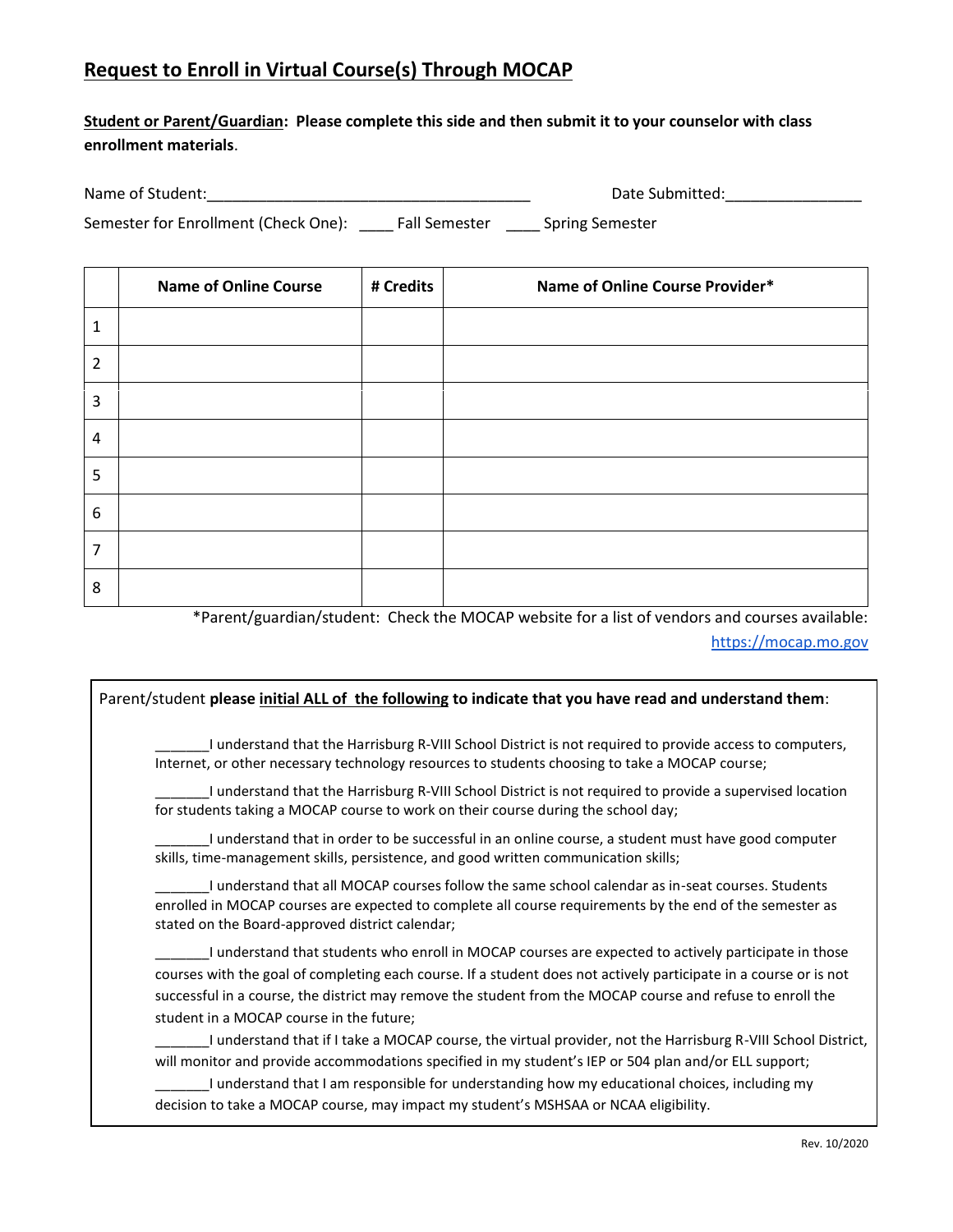# **Request to Enroll in Virtual Course(s) Through MOCAP**

# **Student or Parent/Guardian: Please complete this side and then submit it to your counselor with class enrollment materials**.

| Name of Student:         |                          |                             |  |        |  |  |  |      |  |  |  |                          | Date Submitted: |  |
|--------------------------|--------------------------|-----------------------------|--|--------|--|--|--|------|--|--|--|--------------------------|-----------------|--|
| $\overline{\phantom{0}}$ | $\overline{\phantom{0}}$ | $\sim$ $\sim$ $\sim$ $\sim$ |  | $\sim$ |  |  |  | $ -$ |  |  |  | $\overline{\phantom{a}}$ |                 |  |

Semester for Enrollment (Check One): \_\_\_\_\_ Fall Semester \_\_\_\_\_ Spring Semester

|                | <b>Name of Online Course</b> | # Credits | Name of Online Course Provider* |
|----------------|------------------------------|-----------|---------------------------------|
| 1              |                              |           |                                 |
| 2              |                              |           |                                 |
| 3              |                              |           |                                 |
| $\overline{4}$ |                              |           |                                 |
| 5              |                              |           |                                 |
| 6              |                              |           |                                 |
| 7              |                              |           |                                 |
| 8              |                              |           |                                 |

\*Parent/guardian/student: Check the MOCAP website for a list of vendors and courses available:

[https://mocap.mo.gov](https://mocap.mo.gov/)

#### Parent/student **please initial ALL of the following to indicate that you have read and understand them**:

\_\_\_\_\_\_\_I understand that the Harrisburg R-VIII School District is not required to provide access to computers, Internet, or other necessary technology resources to students choosing to take a MOCAP course;

\_\_\_\_\_\_\_I understand that the Harrisburg R-VIII School District is not required to provide a supervised location for students taking a MOCAP course to work on their course during the school day;

\_\_\_\_\_\_\_I understand that in order to be successful in an online course, a student must have good computer skills, time-management skills, persistence, and good written communication skills;

\_\_\_\_\_\_\_I understand that all MOCAP courses follow the same school calendar as in-seat courses. Students enrolled in MOCAP courses are expected to complete all course requirements by the end of the semester as stated on the Board-approved district calendar;

\_\_\_\_\_\_\_I understand that students who enroll in MOCAP courses are expected to actively participate in those courses with the goal of completing each course. If a student does not actively participate in a course or is not successful in a course, the district may remove the student from the MOCAP course and refuse to enroll the student in a MOCAP course in the future;

\_\_\_\_\_\_\_I understand that if I take a MOCAP course, the virtual provider, not the Harrisburg R-VIII School District, will monitor and provide accommodations specified in my student's IEP or 504 plan and/or ELL support;

I understand that I am responsible for understanding how my educational choices, including my decision to take a MOCAP course, may impact my student's MSHSAA or NCAA eligibility.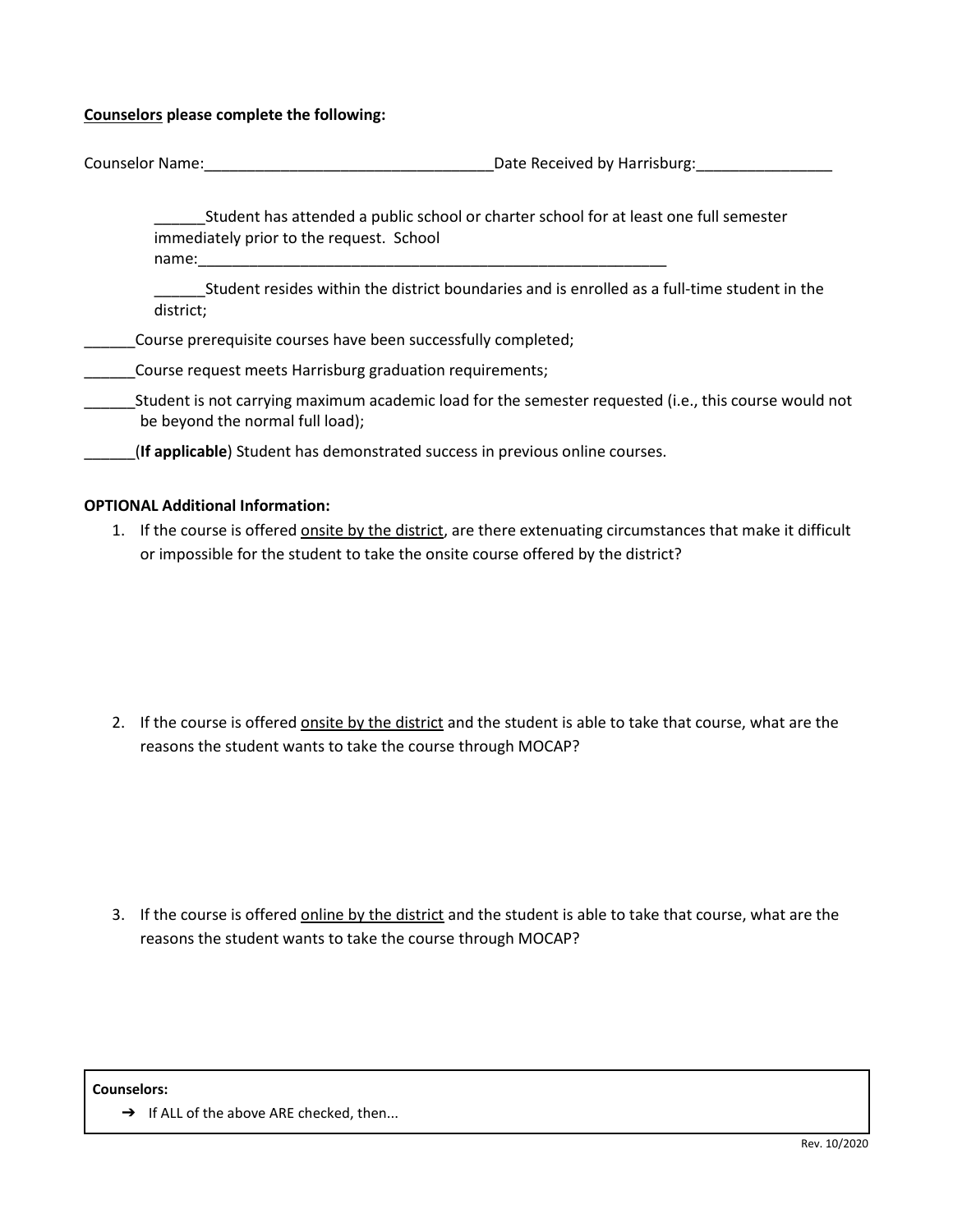#### **Counselors please complete the following:**

| <b>Counselor Name:</b> | Date Received by Harrisburg: |
|------------------------|------------------------------|
|                        |                              |

\_\_\_\_\_\_Student has attended a public school or charter school for at least one full semester immediately prior to the request. School name:\_\_\_\_\_\_\_\_\_\_\_\_\_\_\_\_\_\_\_\_\_\_\_\_\_\_\_\_\_\_\_\_\_\_\_\_\_\_\_\_\_\_\_\_\_\_\_\_\_\_\_\_\_\_\_

\_\_\_\_\_\_Student resides within the district boundaries and is enrolled as a full-time student in the district;

## Course prerequisite courses have been successfully completed;

#### Course request meets Harrisburg graduation requirements;

- \_\_\_\_\_\_Student is not carrying maximum academic load for the semester requested (i.e., this course would not be beyond the normal full load);
- \_\_\_\_\_\_(**If applicable**) Student has demonstrated success in previous online courses.

## **OPTIONAL Additional Information:**

1. If the course is offered onsite by the district, are there extenuating circumstances that make it difficult or impossible for the student to take the onsite course offered by the district?

2. If the course is offered onsite by the district and the student is able to take that course, what are the reasons the student wants to take the course through MOCAP?

3. If the course is offered online by the district and the student is able to take that course, what are the reasons the student wants to take the course through MOCAP?

**Counselors:** 

→ If ALL of the above ARE checked, then...